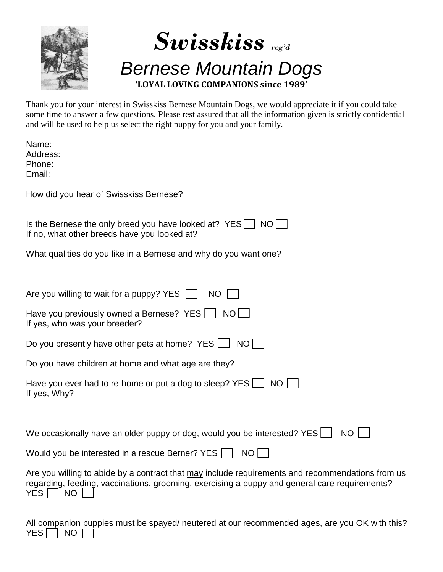



Thank you for your interest in Swisskiss Bernese Mountain Dogs, we would appreciate it if you could take some time to answer a few questions. Please rest assured that all the information given is strictly confidential and will be used to help us select the right puppy for you and your family.

| Name:<br>Address:<br>Phone:<br>Email:                                                                                                                                                                                              |
|------------------------------------------------------------------------------------------------------------------------------------------------------------------------------------------------------------------------------------|
| How did you hear of Swisskiss Bernese?                                                                                                                                                                                             |
| Is the Bernese the only breed you have looked at? YES    <br>NO II<br>If no, what other breeds have you looked at?                                                                                                                 |
| What qualities do you like in a Bernese and why do you want one?                                                                                                                                                                   |
| Are you willing to wait for a puppy? YES $\Box$<br>NO                                                                                                                                                                              |
| Have you previously owned a Bernese? YES     NO<br>If yes, who was your breeder?                                                                                                                                                   |
| Do you presently have other pets at home? YES  <br>NO I                                                                                                                                                                            |
| Do you have children at home and what age are they?                                                                                                                                                                                |
| Have you ever had to re-home or put a dog to sleep? $YES$<br>NO <sup>1</sup><br>If yes, Why?                                                                                                                                       |
|                                                                                                                                                                                                                                    |
| We occasionally have an older puppy or dog, would you be interested? YES $\Box$<br><b>NO</b>                                                                                                                                       |
| Would you be interested in a rescue Berner? YES $\Box$<br>$NO$                                                                                                                                                                     |
| Are you willing to abide by a contract that may include requirements and recommendations from us<br>regarding, feeding, vaccinations, grooming, exercising a puppy and general care requirements?<br>YES <sup>I</sup><br><b>NO</b> |

All companion puppies must be spayed/ neutered at our recommended ages, are you OK with this?  $YES \Box NO \Box$